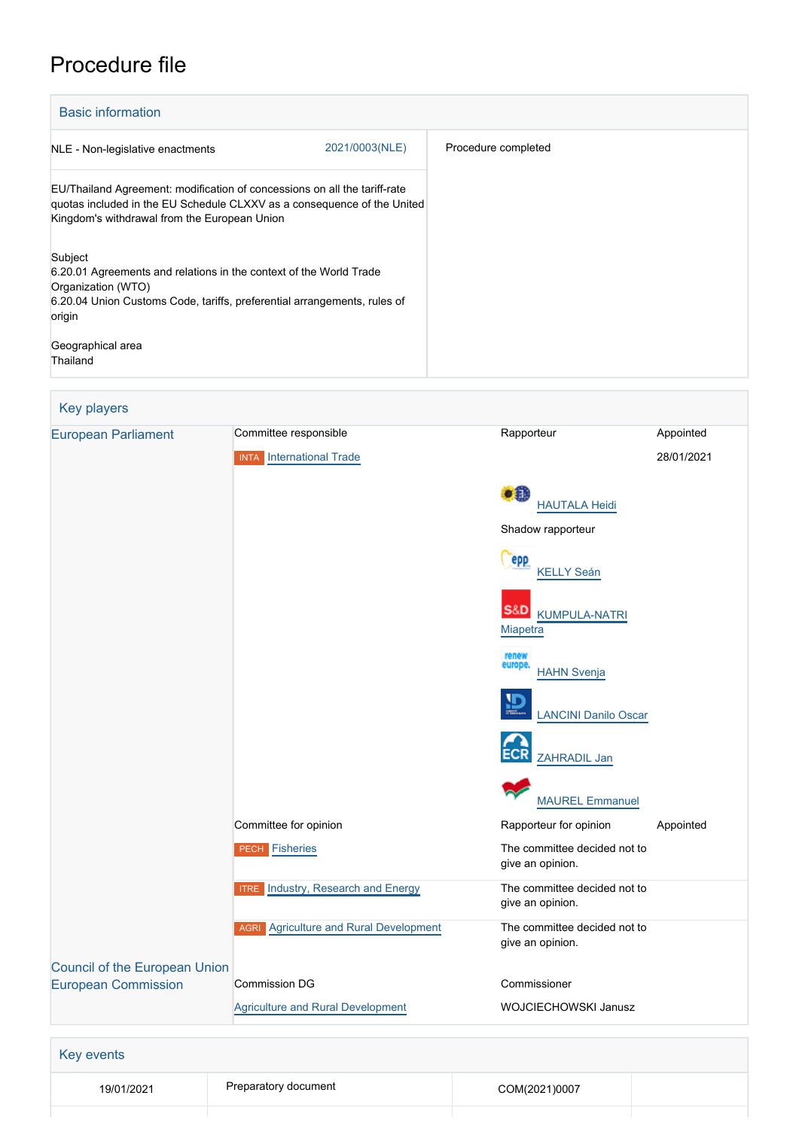## Procedure file

| <b>Basic information</b>                                                                                                                                                                             |                |                     |
|------------------------------------------------------------------------------------------------------------------------------------------------------------------------------------------------------|----------------|---------------------|
| NLE - Non-legislative enactments                                                                                                                                                                     | 2021/0003(NLE) | Procedure completed |
| EU/Thailand Agreement: modification of concessions on all the tariff-rate<br>quotas included in the EU Schedule CLXXV as a consequence of the United<br>Kingdom's withdrawal from the European Union |                |                     |
| Subject<br>6.20.01 Agreements and relations in the context of the World Trade<br>Organization (WTO)<br>6.20.04 Union Customs Code, tariffs, preferential arrangements, rules of<br>origin            |                |                     |
| Geographical area<br>Thailand                                                                                                                                                                        |                |                     |

## Key players [European Parliament](http://www.europarl.europa.eu/) Committee responsible Rapporteur Rapporteur Appointed INTA [International Trade](http://www.europarl.europa.eu/committees/en/inta/home.html) 28/01/2021  $\bullet$ <sup> $\bullet$ </sup> [HAUTALA Heidi](http://www.europarl.europa.eu/meps/en/2054) Shadow rapporteur epp [KELLY Seán](http://www.europarl.europa.eu/meps/en/96668) **S&D** [KUMPULA-NATRI](http://www.europarl.europa.eu/meps/en/124735) **[Miapetra](http://www.europarl.europa.eu/meps/en/124735)**  [HAHN Svenja](http://www.europarl.europa.eu/meps/en/197444) [LANCINI Danilo Oscar](http://www.europarl.europa.eu/meps/en/192635) [ZAHRADIL Jan](http://www.europarl.europa.eu/meps/en/23712) [MAUREL Emmanuel](http://www.europarl.europa.eu/meps/en/24505) Committee for opinion **Committee for opinion** Rapporteur for opinion Appointed PECH [Fisheries](http://www.europarl.europa.eu/committees/en/pech/home.html) The committee decided not to give an opinion. **ITRE** [Industry, Research and Energy](http://www.europarl.europa.eu/committees/en/itre/home.html) **The committee decided not to** give an opinion. AGRI [Agriculture and Rural Development](http://www.europarl.europa.eu/committees/en/agri/home.html) The committee decided not to give an opinion. [Council of the European Union](http://www.consilium.europa.eu) [European Commission](http://ec.europa.eu/) Commission DG Commissioner [Agriculture and Rural Development](http://ec.europa.eu/info/departments/agriculture-and-rural-development_en) WOJCIECHOWSKI Janusz Key events 19/01/2021 Preparatory document COM(2021)0007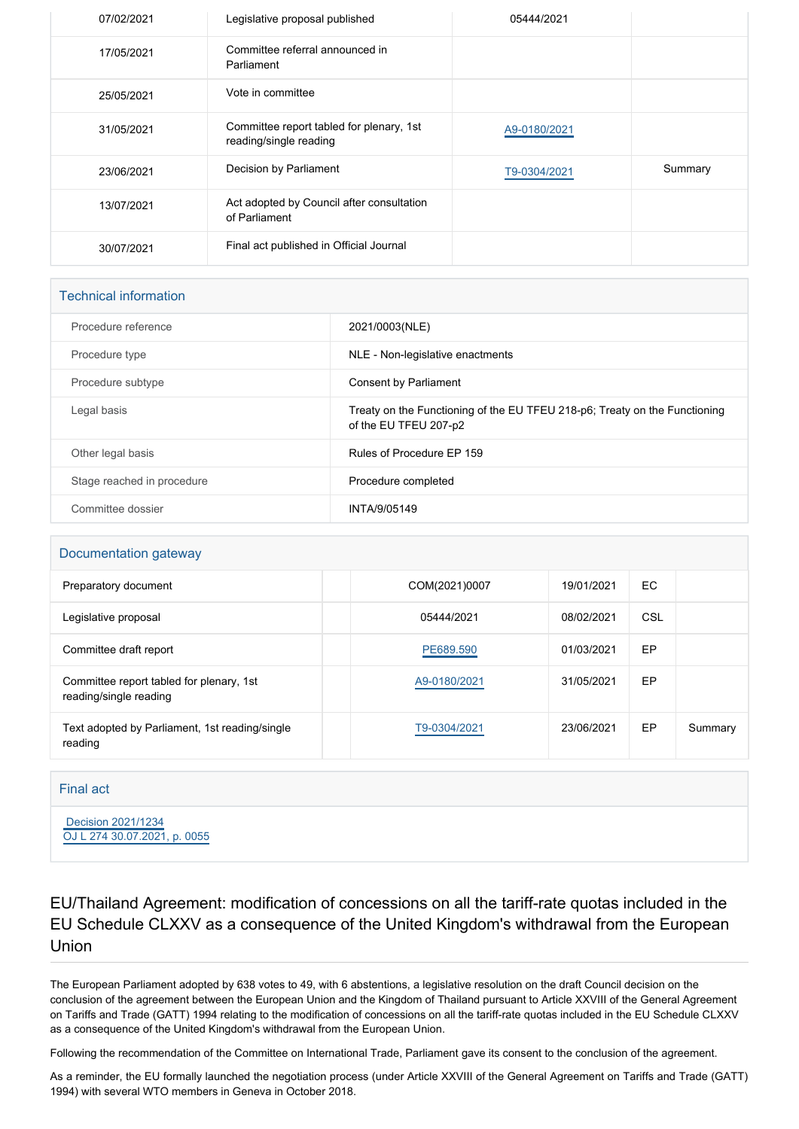| 07/02/2021 | Legislative proposal published                                     | 05444/2021   |         |
|------------|--------------------------------------------------------------------|--------------|---------|
| 17/05/2021 | Committee referral announced in<br>Parliament                      |              |         |
| 25/05/2021 | Vote in committee                                                  |              |         |
| 31/05/2021 | Committee report tabled for plenary, 1st<br>reading/single reading | A9-0180/2021 |         |
| 23/06/2021 | Decision by Parliament                                             | T9-0304/2021 | Summary |
| 13/07/2021 | Act adopted by Council after consultation<br>of Parliament         |              |         |
| 30/07/2021 | Final act published in Official Journal                            |              |         |

| <b>Technical information</b> |                                                                                                     |  |  |  |
|------------------------------|-----------------------------------------------------------------------------------------------------|--|--|--|
| Procedure reference          | 2021/0003(NLE)                                                                                      |  |  |  |
| Procedure type               | NLE - Non-legislative enactments                                                                    |  |  |  |
| Procedure subtype            | Consent by Parliament                                                                               |  |  |  |
| Legal basis                  | Treaty on the Functioning of the EU TFEU 218-p6; Treaty on the Functioning<br>of the EU TFEU 207-p2 |  |  |  |
| Other legal basis            | Rules of Procedure EP 159                                                                           |  |  |  |
| Stage reached in procedure   | Procedure completed                                                                                 |  |  |  |
| Committee dossier            | INTA/9/05149                                                                                        |  |  |  |

## Documentation gateway

| Preparatory document                                               | COM(2021)0007 | 19/01/2021 | EC. |         |
|--------------------------------------------------------------------|---------------|------------|-----|---------|
| Legislative proposal                                               | 05444/2021    | 08/02/2021 | CSL |         |
| Committee draft report                                             | PE689.590     | 01/03/2021 | EP  |         |
| Committee report tabled for plenary, 1st<br>reading/single reading | A9-0180/2021  | 31/05/2021 | EP  |         |
| Text adopted by Parliament, 1st reading/single<br>reading          | T9-0304/2021  | 23/06/2021 | EP  | Summary |

## Final act

 [Decision 2021/1234](https://eur-lex.europa.eu/smartapi/cgi/sga_doc?smartapi!celexplus!prod!CELEXnumdoc&lg=EN&numdoc=32021D1234) [OJ L 274 30.07.2021, p. 0055](https://eur-lex.europa.eu/legal-content/EN/TXT/?uri=OJ:L:2021:274:TOC)

EU/Thailand Agreement: modification of concessions on all the tariff-rate quotas included in the EU Schedule CLXXV as a consequence of the United Kingdom's withdrawal from the European Union

The European Parliament adopted by 638 votes to 49, with 6 abstentions, a legislative resolution on the draft Council decision on the conclusion of the agreement between the European Union and the Kingdom of Thailand pursuant to Article XXVIII of the General Agreement on Tariffs and Trade (GATT) 1994 relating to the modification of concessions on all the tariff-rate quotas included in the EU Schedule CLXXV as a consequence of the United Kingdom's withdrawal from the European Union.

Following the recommendation of the Committee on International Trade, Parliament gave its consent to the conclusion of the agreement.

As a reminder, the EU formally launched the negotiation process (under Article XXVIII of the General Agreement on Tariffs and Trade (GATT) 1994) with several WTO members in Geneva in October 2018.